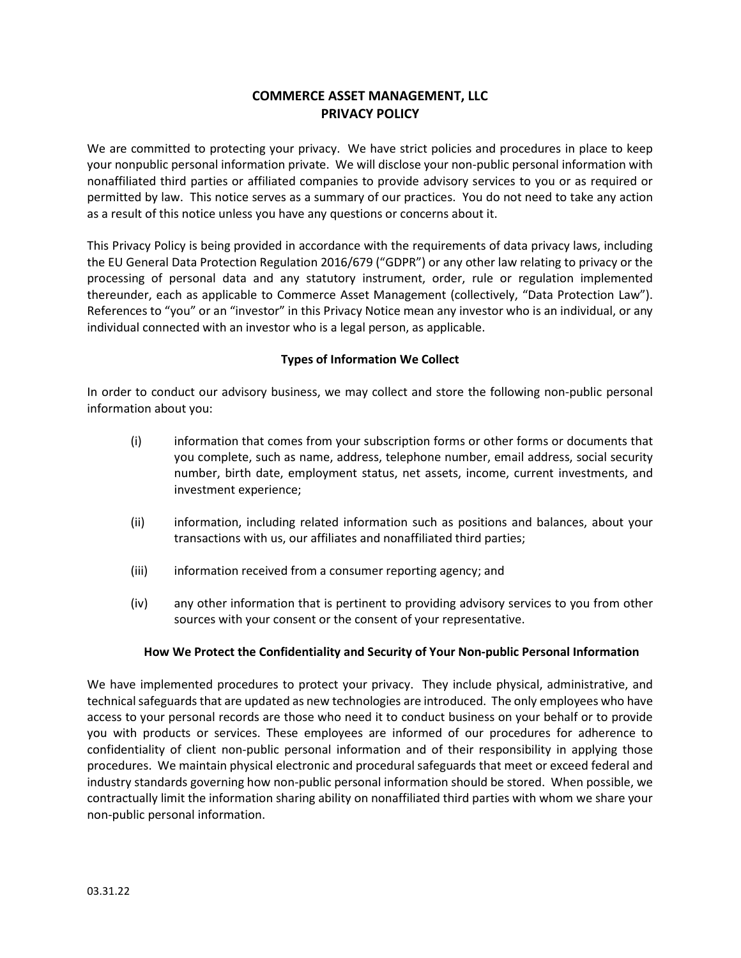# COMMERCE ASSET MANAGEMENT, LLC PRIVACY POLICY

We are committed to protecting your privacy. We have strict policies and procedures in place to keep your nonpublic personal information private. We will disclose your non-public personal information with nonaffiliated third parties or affiliated companies to provide advisory services to you or as required or permitted by law. This notice serves as a summary of our practices. You do not need to take any action as a result of this notice unless you have any questions or concerns about it.

This Privacy Policy is being provided in accordance with the requirements of data privacy laws, including the EU General Data Protection Regulation 2016/679 ("GDPR") or any other law relating to privacy or the processing of personal data and any statutory instrument, order, rule or regulation implemented thereunder, each as applicable to Commerce Asset Management (collectively, "Data Protection Law"). References to "you" or an "investor" in this Privacy Notice mean any investor who is an individual, or any individual connected with an investor who is a legal person, as applicable.

#### Types of Information We Collect

In order to conduct our advisory business, we may collect and store the following non-public personal information about you:

- (i) information that comes from your subscription forms or other forms or documents that you complete, such as name, address, telephone number, email address, social security number, birth date, employment status, net assets, income, current investments, and investment experience;
- (ii) information, including related information such as positions and balances, about your transactions with us, our affiliates and nonaffiliated third parties;
- (iii) information received from a consumer reporting agency; and
- (iv) any other information that is pertinent to providing advisory services to you from other sources with your consent or the consent of your representative.

#### How We Protect the Confidentiality and Security of Your Non-public Personal Information

We have implemented procedures to protect your privacy. They include physical, administrative, and technical safeguards that are updated as new technologies are introduced. The only employees who have access to your personal records are those who need it to conduct business on your behalf or to provide you with products or services. These employees are informed of our procedures for adherence to confidentiality of client non-public personal information and of their responsibility in applying those procedures. We maintain physical electronic and procedural safeguards that meet or exceed federal and industry standards governing how non-public personal information should be stored. When possible, we contractually limit the information sharing ability on nonaffiliated third parties with whom we share your non-public personal information.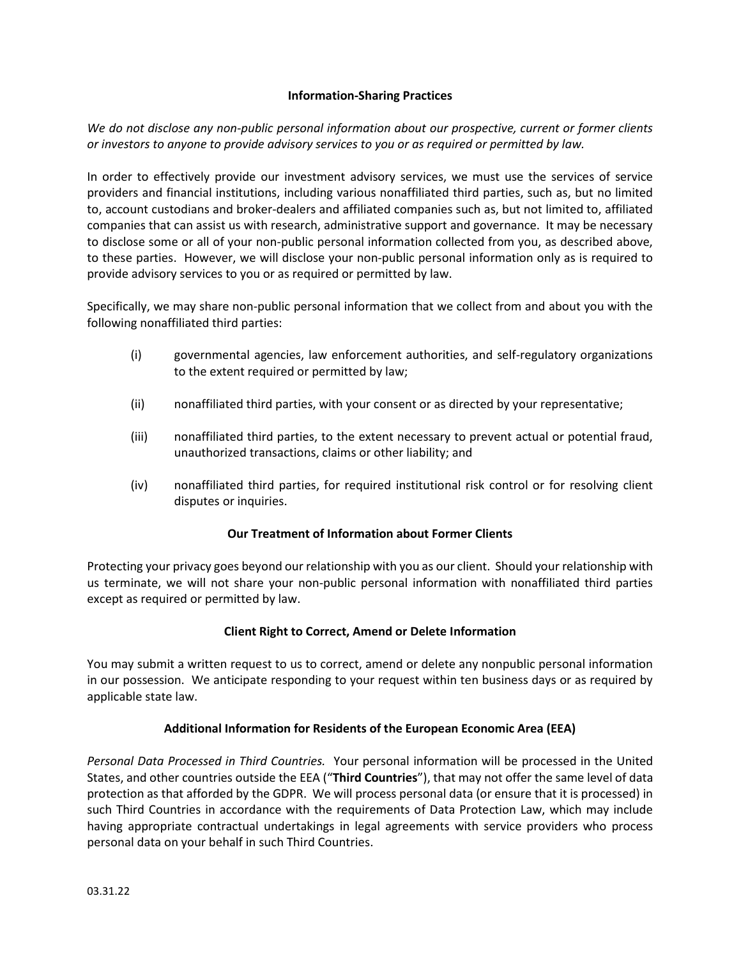### Information-Sharing Practices

We do not disclose any non-public personal information about our prospective, current or former clients or investors to anyone to provide advisory services to you or as required or permitted by law.

In order to effectively provide our investment advisory services, we must use the services of service providers and financial institutions, including various nonaffiliated third parties, such as, but no limited to, account custodians and broker-dealers and affiliated companies such as, but not limited to, affiliated companies that can assist us with research, administrative support and governance. It may be necessary to disclose some or all of your non-public personal information collected from you, as described above, to these parties. However, we will disclose your non-public personal information only as is required to provide advisory services to you or as required or permitted by law.

Specifically, we may share non-public personal information that we collect from and about you with the following nonaffiliated third parties:

- (i) governmental agencies, law enforcement authorities, and self-regulatory organizations to the extent required or permitted by law;
- (ii) nonaffiliated third parties, with your consent or as directed by your representative;
- (iii) nonaffiliated third parties, to the extent necessary to prevent actual or potential fraud, unauthorized transactions, claims or other liability; and
- (iv) nonaffiliated third parties, for required institutional risk control or for resolving client disputes or inquiries.

#### Our Treatment of Information about Former Clients

Protecting your privacy goes beyond our relationship with you as our client. Should your relationship with us terminate, we will not share your non-public personal information with nonaffiliated third parties except as required or permitted by law.

#### Client Right to Correct, Amend or Delete Information

You may submit a written request to us to correct, amend or delete any nonpublic personal information in our possession. We anticipate responding to your request within ten business days or as required by applicable state law.

## Additional Information for Residents of the European Economic Area (EEA)

Personal Data Processed in Third Countries. Your personal information will be processed in the United States, and other countries outside the EEA ("Third Countries"), that may not offer the same level of data protection as that afforded by the GDPR. We will process personal data (or ensure that it is processed) in such Third Countries in accordance with the requirements of Data Protection Law, which may include having appropriate contractual undertakings in legal agreements with service providers who process personal data on your behalf in such Third Countries.